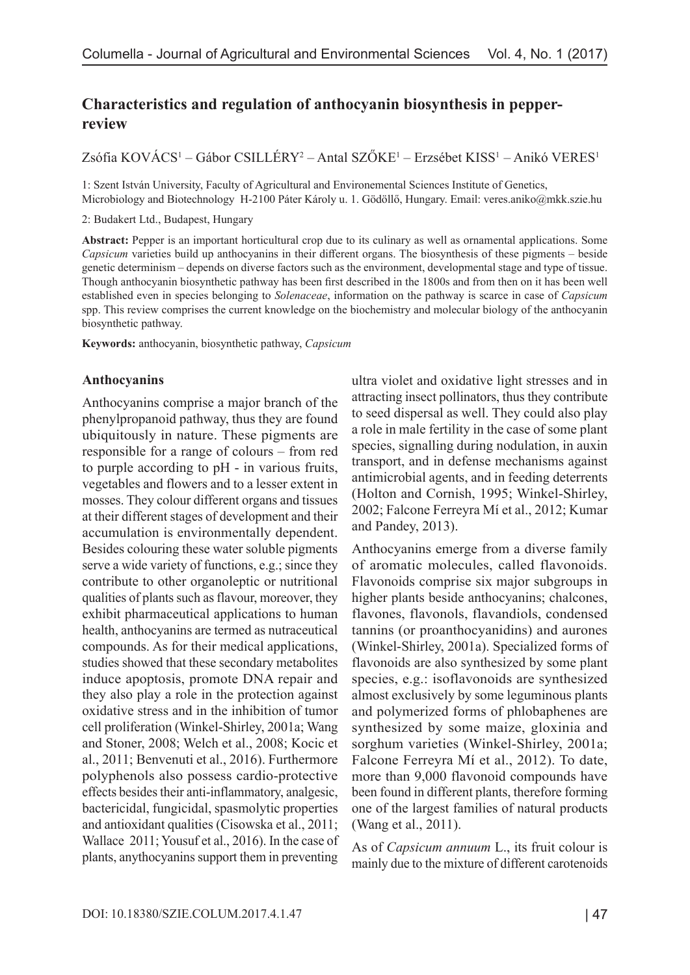# **Characteristics and regulation of anthocyanin biosynthesis in pepperreview**

Zsófia KOVÁCS<sup>1</sup> – Gábor CSILLÉRY<sup>2</sup> – Antal SZÖKE<sup>1</sup> – Erzsébet KISS<sup>1</sup> – Anikó VERES<sup>1</sup>

1: Szent István University, Faculty of Agricultural and Environemental Sciences Institute of Genetics, Microbiology and Biotechnology H-2100 Páter Károly u. 1. Gödöllő, Hungary. Email: [veres.aniko@mkk.szie.hu](mailto:veres.aniko@mkk.szie.hu)

2: Budakert Ltd., Budapest, Hungary

**Abstract:** Pepper is an important horticultural crop due to its culinary as well as ornamental applications. Some *Capsicum* varieties build up anthocyanins in their different organs. The biosynthesis of these pigments – beside genetic determinism – depends on diverse factors such as the environment, developmental stage and type of tissue. Though anthocyanin biosynthetic pathway has been first described in the 1800s and from then on it has been well established even in species belonging to *Solenaceae*, information on the pathway is scarce in case of *Capsicum* spp. This review comprises the current knowledge on the biochemistry and molecular biology of the anthocyanin biosynthetic pathway.

**Keywords:** anthocyanin, biosynthetic pathway, *Capsicum*

### **Anthocyanins**

Anthocyanins comprise a major branch of the phenylpropanoid pathway, thus they are found ubiquitously in nature. These pigments are responsible for a range of colours – from red to purple according to pH - in various fruits, vegetables and flowers and to a lesser extent in mosses. They colour different organs and tissues at their different stages of development and their accumulation is environmentally dependent. Besides colouring these water soluble pigments serve a wide variety of functions, e.g.; since they contribute to other organoleptic or nutritional qualities of plants such as flavour, moreover, they exhibit pharmaceutical applications to human health, anthocyanins are termed as nutraceutical compounds. As for their medical applications, studies showed that these secondary metabolites induce apoptosis, promote DNA repair and they also play a role in the protection against oxidative stress and in the inhibition of tumor cell proliferation (Winkel-Shirley, 2001a; Wang and Stoner, 2008; Welch et al., 2008; Kocic et al., 2011; Benvenuti et al., 2016). Furthermore polyphenols also possess cardio-protective effects besides their anti-inflammatory, analgesic, bactericidal, fungicidal, spasmolytic properties and antioxidant qualities (Cisowska et al., 2011; Wallace 2011; Yousuf et al., 2016). In the case of plants, anythocyanins support them in preventing ultra violet and oxidative light stresses and in attracting insect pollinators, thus they contribute to seed dispersal as well. They could also play a role in male fertility in the case of some plant species, signalling during nodulation, in auxin transport, and in defense mechanisms against antimicrobial agents, and in feeding deterrents (Holton and Cornish, 1995; Winkel-Shirley, 2002; Falcone Ferreyra Mí et al., 2012; Kumar and Pandey, 2013).

Anthocyanins emerge from a diverse family of aromatic molecules, called flavonoids. Flavonoids comprise six major subgroups in higher plants beside anthocyanins; chalcones, flavones, flavonols, flavandiols, condensed tannins (or proanthocyanidins) and aurones (Winkel-Shirley, 2001a). Specialized forms of flavonoids are also synthesized by some plant species, e.g.: isoflavonoids are synthesized almost exclusively by some leguminous plants and polymerized forms of phlobaphenes are synthesized by some maize, gloxinia and sorghum varieties (Winkel-Shirley, 2001a; Falcone Ferreyra Mí et al., 2012). To date, more than 9,000 flavonoid compounds have been found in different plants, therefore forming one of the largest families of natural products (Wang et al., 2011).

As of *Capsicum annuum* L., its fruit colour is mainly due to the mixture of different carotenoids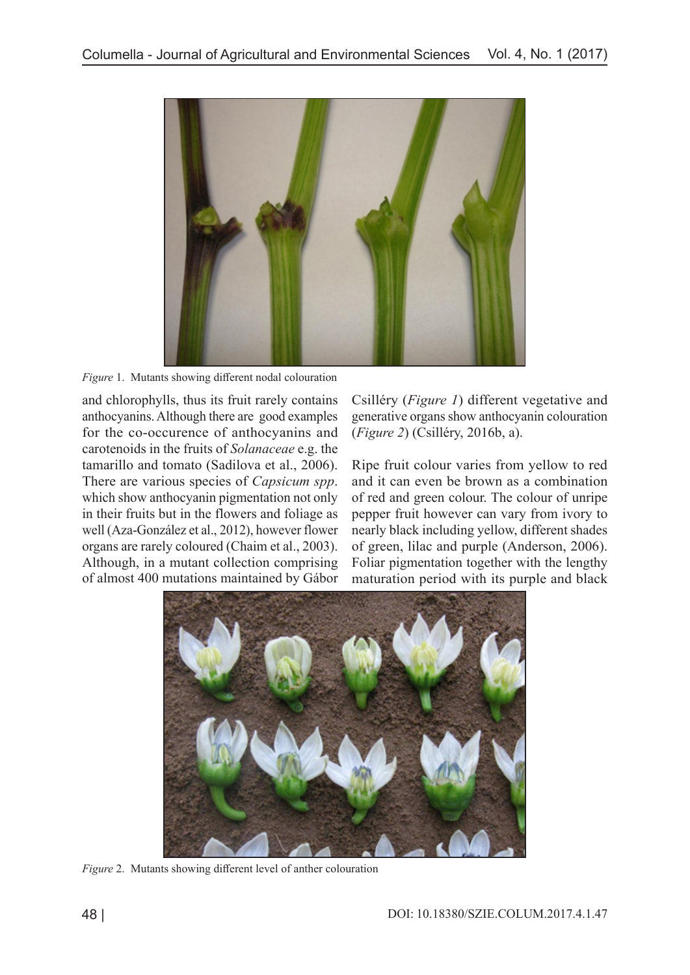

*Figure* 1.Mutants showing different nodal colouration

and chlorophylls, thus its fruit rarely contains anthocyanins. Although there are good examples for the co-occurence of anthocyanins and carotenoids in the fruits of *Solanaceae* e.g. the tamarillo and tomato (Sadilova et al., 2006). There are various species of *Capsicum spp*. which show anthocyanin pigmentation not only in their fruits but in the flowers and foliage as well (Aza-González et al., 2012), however flower organs are rarely coloured (Chaim et al., 2003). Although, in a mutant collection comprising of almost 400 mutations maintained by Gábor

Csilléry (*Figure 1*) different vegetative and generative organs show anthocyanin colouration (*Figure 2*) (Csilléry, 2016b, a).

Ripe fruit colour varies from yellow to red and it can even be brown as a combination of red and green colour. The colour of unripe pepper fruit however can vary from ivory to nearly black including yellow, different shades of green, lilac and purple (Anderson, 2006). Foliar pigmentation together with the lengthy maturation period with its purple and black



*Figure* 2.Mutants showing different level of anther colouration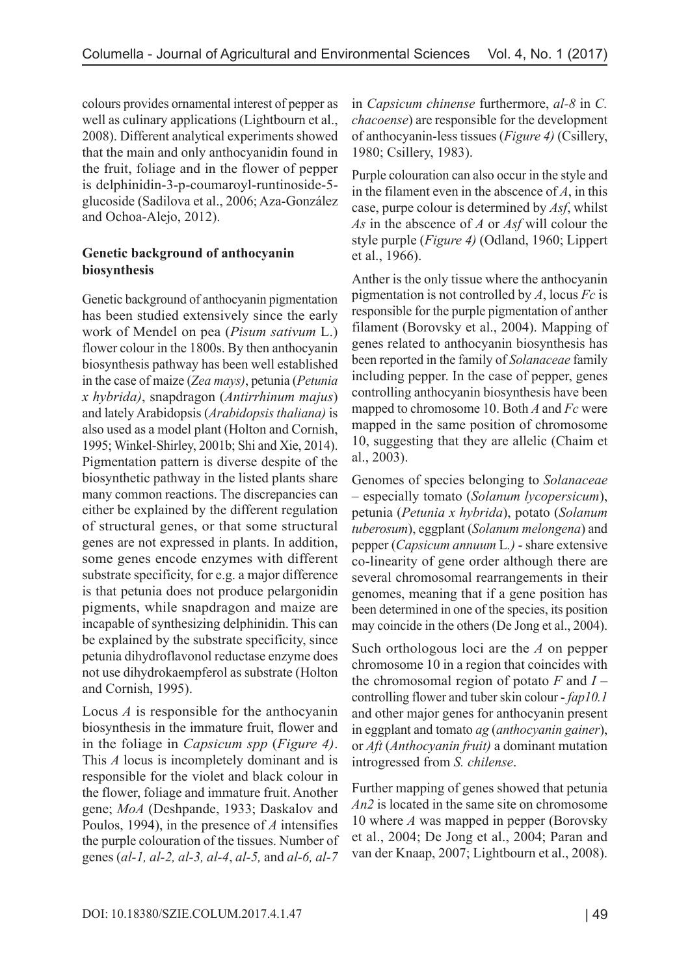colours provides ornamental interest of pepper as well as culinary applications (Lightbourn et al., 2008). Different analytical experiments showed that the main and only anthocyanidin found in the fruit, foliage and in the flower of pepper is delphinidin-3-p-coumaroyl-runtinoside-5 glucoside (Sadilova et al., 2006; Aza-González and Ochoa-Alejo, 2012).

## **Genetic background of anthocyanin biosynthesis**

Genetic background of anthocyanin pigmentation has been studied extensively since the early work of Mendel on pea (*Pisum sativum* L.) flower colour in the 1800s. By then anthocyanin biosynthesis pathway has been well established in the case of maize (*Zea mays)*, petunia (*Petunia x hybrida)*, snapdragon (*Antirrhinum majus*) and lately Arabidopsis (*Arabidopsis thaliana)* is also used as a model plant (Holton and Cornish, 1995; Winkel-Shirley, 2001b; Shi and Xie, 2014). Pigmentation pattern is diverse despite of the biosynthetic pathway in the listed plants share many common reactions. The discrepancies can either be explained by the different regulation of structural genes, or that some structural genes are not expressed in plants. In addition, some genes encode enzymes with different substrate specificity, for e.g. a major difference is that petunia does not produce pelargonidin pigments, while snapdragon and maize are incapable of synthesizing delphinidin. This can be explained by the substrate specificity, since petunia dihydroflavonol reductase enzyme does not use dihydrokaempferol as substrate (Holton and Cornish, 1995).

Locus *A* is responsible for the anthocyanin biosynthesis in the immature fruit, flower and in the foliage in *Capsicum spp* (*Figure 4)*. This *A* locus is incompletely dominant and is responsible for the violet and black colour in the flower, foliage and immature fruit. Another gene; *MoA* (Deshpande, 1933; Daskalov and Poulos, 1994), in the presence of *A* intensifies the purple colouration of the tissues. Number of genes (*al-1, al-2, al-3, al-4*, *al-5,* and *al-6, al-7* 

in *Capsicum chinense* furthermore, *al-8* in *C. chacoense*) are responsible for the development of anthocyanin-less tissues (*Figure 4)* (Csillery, 1980; Csillery, 1983).

Purple colouration can also occur in the style and in the filament even in the abscence of *A*, in this case, purpe colour is determined by *Asf*, whilst *As* in the abscence of *A* or *Asf* will colour the style purple (*Figure 4)* (Odland, 1960; Lippert et al., 1966).

Anther is the only tissue where the anthocyanin pigmentation is not controlled by *A*, locus *Fc* is responsible for the purple pigmentation of anther filament (Borovsky et al., 2004). Mapping of genes related to anthocyanin biosynthesis has been reported in the family of *Solanaceae* family including pepper. In the case of pepper, genes controlling anthocyanin biosynthesis have been mapped to chromosome 10. Both *A* and *Fc* were mapped in the same position of chromosome 10, suggesting that they are allelic (Chaim et al., 2003).

Genomes of species belonging to *Solanaceae* – especially tomato (*Solanum lycopersicum*), petunia (*Petunia x hybrida*), potato (*Solanum tuberosum*), eggplant (*Solanum melongena*) and pepper (*Capsicum annuum* L*.)* - share extensive co-linearity of gene order although there are several chromosomal rearrangements in their genomes, meaning that if a gene position has been determined in one of the species, its position may coincide in the others (De Jong et al., 2004).

Such orthologous loci are the *A* on pepper chromosome 10 in a region that coincides with the chromosomal region of potato *F* and *I* – controlling flower and tuber skin colour - *fap10.1*  and other major genes for anthocyanin present in eggplant and tomato *ag* (*anthocyanin gainer*), or *Aft* (*Anthocyanin fruit)* a dominant mutation introgressed from *S. chilense*.

Further mapping of genes showed that petunia *An2* is located in the same site on chromosome 10 where *A* was mapped in pepper (Borovsky et al., 2004; De Jong et al., 2004; Paran and van der Knaap, 2007; Lightbourn et al., 2008).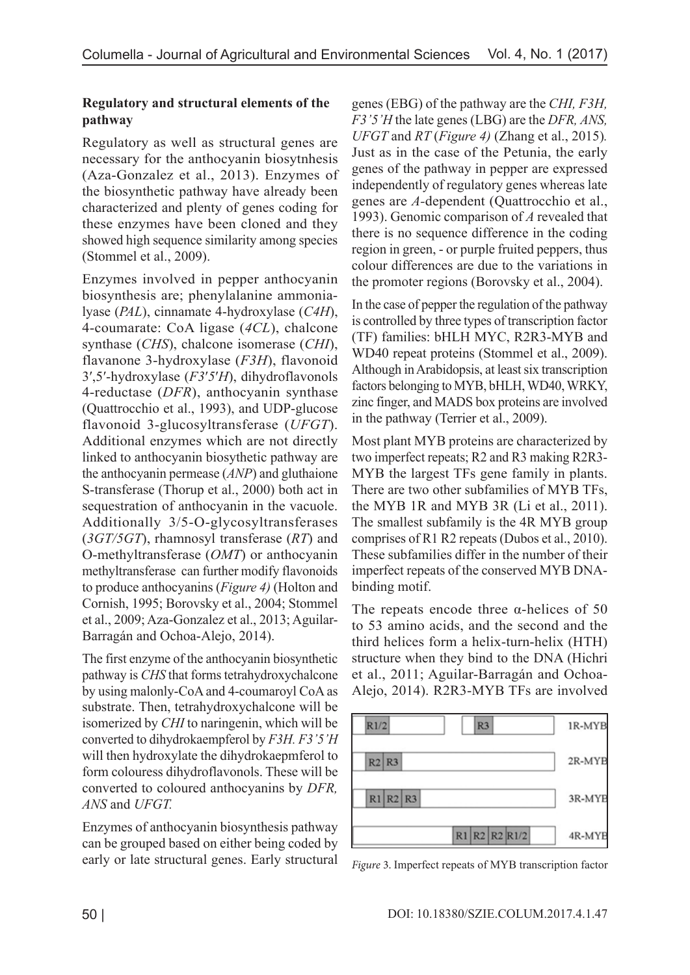## **Regulatory and structural elements of the pathway**

Regulatory as well as structural genes are necessary for the anthocyanin biosytnhesis (Aza-Gonzalez et al., 2013). Enzymes of the biosynthetic pathway have already been characterized and plenty of genes coding for these enzymes have been cloned and they showed high sequence similarity among species (Stommel et al., 2009).

Enzymes involved in pepper anthocyanin biosynthesis are; phenylalanine ammonialyase (*PAL*), cinnamate 4-hydroxylase (*C4H*), 4-coumarate: CoA ligase (*4CL*), chalcone synthase (*CHS*), chalcone isomerase (*CHI*), flavanone 3-hydroxylase (*F3H*), flavonoid 3′,5′-hydroxylase (*F3*′*5*′*H*), dihydroflavonols 4-reductase (*DFR*), anthocyanin synthase (Quattrocchio et al., 1993), and UDP-glucose flavonoid 3-glucosyltransferase (*UFGT*). Additional enzymes which are not directly linked to anthocyanin biosythetic pathway are the anthocyanin permease (*ANP*) and gluthaione S-transferase (Thorup et al., 2000) both act in sequestration of anthocyanin in the vacuole. Additionally 3/5-O-glycosyltransferases (*3GT/5GT*), rhamnosyl transferase (*RT*) and O-methyltransferase (*OMT*) or anthocyanin methyltransferase can further modify flavonoids to produce anthocyanins (*Figure 4)* (Holton and Cornish, 1995; Borovsky et al., 2004; Stommel et al., 2009; Aza-Gonzalez et al., 2013; Aguilar-Barragán and Ochoa-Alejo, 2014).

The first enzyme of the anthocyanin biosynthetic pathway is *CHS* that forms tetrahydroxychalcone by using malonly-CoA and 4-coumaroyl CoA as substrate. Then, tetrahydroxychalcone will be isomerized by *CHI* to naringenin, which will be converted to dihydrokaempferol by *F3H. F3'5'H*  will then hydroxylate the dihydrokaepmferol to form colouress dihydroflavonols. These will be converted to coloured anthocyanins by *DFR, ANS* and *UFGT.*

Enzymes of anthocyanin biosynthesis pathway can be grouped based on either being coded by early or late structural genes. Early structural genes (EBG) of the pathway are the *CHI, F3H, F3'5'H* the late genes (LBG) are the *DFR, ANS, UFGT* and *RT* (*Figure 4)* (Zhang et al., 2015)*.*  Just as in the case of the Petunia, the early genes of the pathway in pepper are expressed independently of regulatory genes whereas late genes are *A-*dependent (Quattrocchio et al., 1993). Genomic comparison of *A* revealed that there is no sequence difference in the coding region in green, - or purple fruited peppers, thus colour differences are due to the variations in the promoter regions (Borovsky et al., 2004).

In the case of pepper the regulation of the pathway is controlled by three types of transcription factor (TF) families: bHLH MYC, R2R3-MYB and WD40 repeat proteins (Stommel et al., 2009). Although in Arabidopsis, at least six transcription factors belonging to MYB, bHLH, WD40, WRKY, zinc finger, and MADS box proteins are involved in the pathway (Terrier et al., 2009).

Most plant MYB proteins are characterized by two imperfect repeats; R2 and R3 making R2R3- MYB the largest TFs gene family in plants. There are two other subfamilies of MYB TFs, the MYB 1R and MYB 3R (Li et al., 2011). The smallest subfamily is the 4R MYB group comprises of R1 R2 repeats (Dubos et al., 2010). These subfamilies differ in the number of their imperfect repeats of the conserved MYB DNAbinding motif.

The repeats encode three  $\alpha$ -helices of 50 to 53 amino acids, and the second and the third helices form a helix-turn-helix (HTH) structure when they bind to the DNA (Hichri et al., 2011; Aguilar-Barragán and Ochoa-Alejo, 2014). R2R3-MYB TFs are involved



*Figure* 3. Imperfect repeats of MYB transcription factor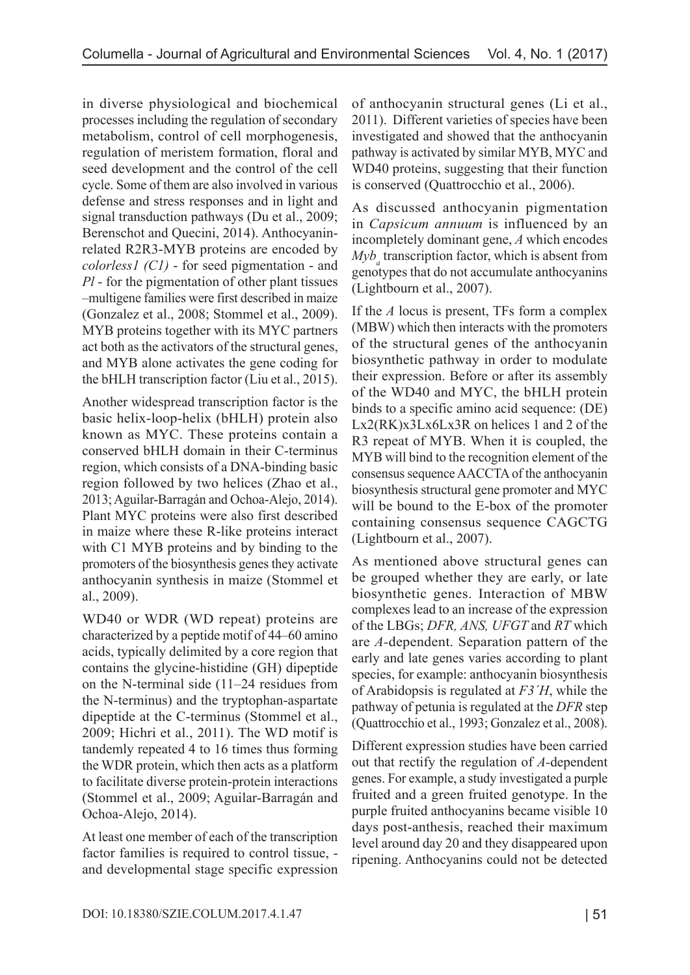in diverse physiological and biochemical processes including the regulation of secondary metabolism, control of cell morphogenesis, regulation of meristem formation, floral and seed development and the control of the cell cycle. Some of them are also involved in various defense and stress responses and in light and signal transduction pathways (Du et al., 2009; Berenschot and Quecini, 2014). Anthocyaninrelated R2R3-MYB proteins are encoded by *colorless1 (C1)* - for seed pigmentation - and *Pl* - for the pigmentation of other plant tissues –multigene families were first described in maize (Gonzalez et al., 2008; Stommel et al., 2009). MYB proteins together with its MYC partners act both as the activators of the structural genes, and MYB alone activates the gene coding for the bHLH transcription factor (Liu et al., 2015).

Another widespread transcription factor is the basic helix-loop-helix (bHLH) protein also known as MYC. These proteins contain a conserved bHLH domain in their C-terminus region, which consists of a DNA-binding basic region followed by two helices (Zhao et al., 2013; Aguilar-Barragán and Ochoa-Alejo, 2014). Plant MYC proteins were also first described in maize where these R-like proteins interact with C1 MYB proteins and by binding to the promoters of the biosynthesis genes they activate anthocyanin synthesis in maize (Stommel et al., 2009).

WD40 or WDR (WD repeat) proteins are characterized by a peptide motif of 44–60 amino acids, typically delimited by a core region that contains the glycine-histidine (GH) dipeptide on the N-terminal side (11–24 residues from the N-terminus) and the tryptophan-aspartate dipeptide at the C-terminus (Stommel et al., 2009; Hichri et al., 2011). The WD motif is tandemly repeated 4 to 16 times thus forming the WDR protein, which then acts as a platform to facilitate diverse protein-protein interactions (Stommel et al., 2009; Aguilar-Barragán and Ochoa-Alejo, 2014).

At least one member of each of the transcription factor families is required to control tissue, and developmental stage specific expression of anthocyanin structural genes (Li et al., 2011). Different varieties of species have been investigated and showed that the anthocyanin pathway is activated by similar MYB, MYC and WD40 proteins, suggesting that their function is conserved (Quattrocchio et al., 2006).

As discussed anthocyanin pigmentation in *Capsicum annuum* is influenced by an incompletely dominant gene, *A* which encodes  $Myb_a$  transcription factor, which is absent from genotypes that do not accumulate anthocyanins (Lightbourn et al., 2007).

If the *A* locus is present, TFs form a complex (MBW) which then interacts with the promoters of the structural genes of the anthocyanin biosynthetic pathway in order to modulate their expression. Before or after its assembly of the WD40 and MYC, the bHLH protein binds to a specific amino acid sequence: (DE) Lx2(RK)x3Lx6Lx3R on helices 1 and 2 of the R3 repeat of MYB. When it is coupled, the MYB will bind to the recognition element of the consensus sequence AACCTA of the anthocyanin biosynthesis structural gene promoter and MYC will be bound to the E-box of the promoter containing consensus sequence CAGCTG (Lightbourn et al., 2007).

As mentioned above structural genes can be grouped whether they are early, or late biosynthetic genes. Interaction of MBW complexes lead to an increase of the expression of the LBGs; *DFR, ANS, UFGT* and *RT* which are *A-*dependent. Separation pattern of the early and late genes varies according to plant species, for example: anthocyanin biosynthesis of Arabidopsis is regulated at *F3´H*, while the pathway of petunia is regulated at the *DFR* step (Quattrocchio et al., 1993; Gonzalez et al., 2008).

Different expression studies have been carried out that rectify the regulation of *A-*dependent genes. For example, a study investigated a purple fruited and a green fruited genotype. In the purple fruited anthocyanins became visible 10 days post-anthesis, reached their maximum level around day 20 and they disappeared upon ripening. Anthocyanins could not be detected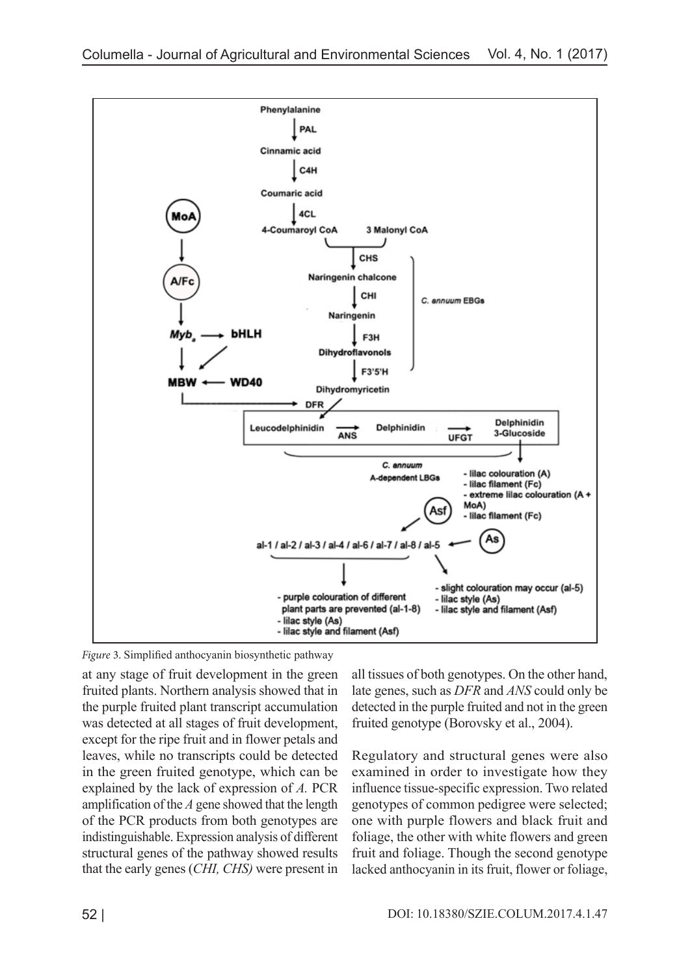

*Figure* 3. Simplified anthocyanin biosynthetic pathway

at any stage of fruit development in the green fruited plants. Northern analysis showed that in the purple fruited plant transcript accumulation was detected at all stages of fruit development, except for the ripe fruit and in flower petals and leaves, while no transcripts could be detected in the green fruited genotype, which can be explained by the lack of expression of *A.* PCR amplification of the *A* gene showed that the length of the PCR products from both genotypes are indistinguishable. Expression analysis of different structural genes of the pathway showed results that the early genes (*CHI, CHS)* were present in

all tissues of both genotypes. On the other hand, late genes, such as *DFR* and *ANS* could only be detected in the purple fruited and not in the green fruited genotype (Borovsky et al., 2004).

Regulatory and structural genes were also examined in order to investigate how they influence tissue-specific expression. Two related genotypes of common pedigree were selected; one with purple flowers and black fruit and foliage, the other with white flowers and green fruit and foliage. Though the second genotype lacked anthocyanin in its fruit, flower or foliage,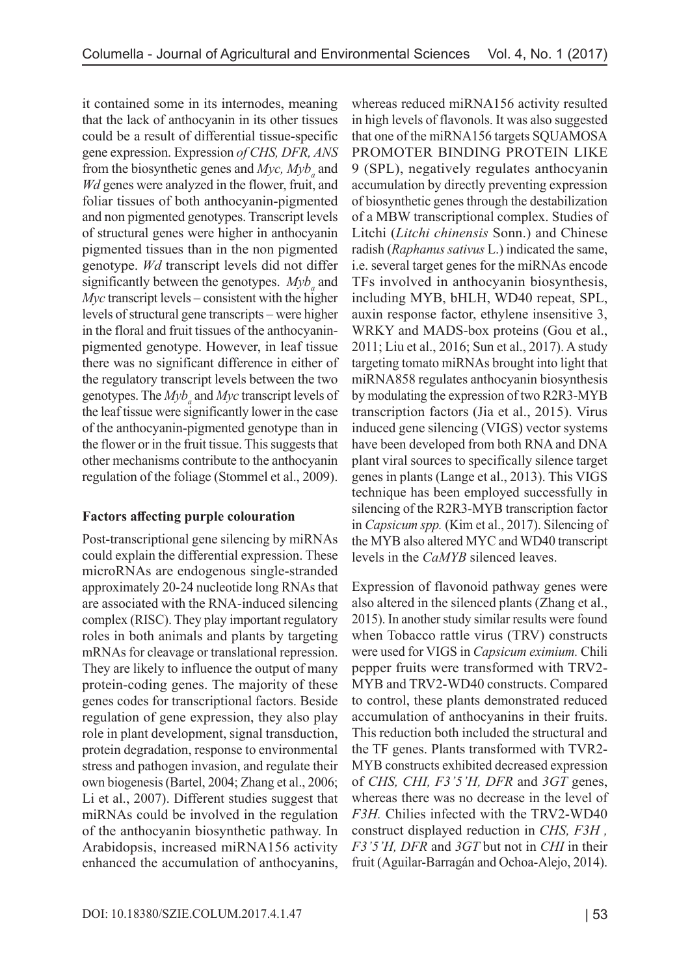it contained some in its internodes, meaning that the lack of anthocyanin in its other tissues could be a result of differential tissue-specific gene expression. Expression *of CHS, DFR, ANS*  from the biosynthetic genes and *Myc*, *Myb*<sub>*a*</sub> and *Wd* genes were analyzed in the flower, fruit, and foliar tissues of both anthocyanin-pigmented and non pigmented genotypes. Transcript levels of structural genes were higher in anthocyanin pigmented tissues than in the non pigmented genotype. *Wd* transcript levels did not differ significantly between the genotypes. *Myb<sub>a</sub>* and *Myc* transcript levels – consistent with the higher levels of structural gene transcripts – were higher in the floral and fruit tissues of the anthocyaninpigmented genotype. However, in leaf tissue there was no significant difference in either of the regulatory transcript levels between the two genotypes. The  $Myb_a$  and  $Myc$  transcript levels of the leaf tissue were significantly lower in the case of the anthocyanin-pigmented genotype than in the flower or in the fruit tissue. This suggests that other mechanisms contribute to the anthocyanin regulation of the foliage (Stommel et al., 2009).

## **Factors affecting purple colouration**

Post-transcriptional gene silencing by miRNAs could explain the differential expression. These microRNAs are endogenous single-stranded approximately 20-24 nucleotide long RNAs that are associated with the RNA-induced silencing complex (RISC). They play important regulatory roles in both animals and plants by targeting mRNAs for cleavage or translational repression. They are likely to influence the output of many protein-coding genes. The majority of these genes codes for transcriptional factors. Beside regulation of gene expression, they also play role in plant development, signal transduction, protein degradation, response to environmental stress and pathogen invasion, and regulate their own biogenesis(Bartel, 2004; Zhang et al., 2006; Li et al., 2007). Different studies suggest that miRNAs could be involved in the regulation of the anthocyanin biosynthetic pathway. In Arabidopsis, increased miRNA156 activity enhanced the accumulation of anthocyanins,

whereas reduced miRNA156 activity resulted in high levels of flavonols. It was also suggested that one of the miRNA156 targets SQUAMOSA PROMOTER BINDING PROTEIN LIKE 9 (SPL), negatively regulates anthocyanin accumulation by directly preventing expression of biosynthetic genes through the destabilization of a MBW transcriptional complex. Studies of Litchi (*Litchi chinensis* Sonn.) and Chinese radish (*Raphanus sativus* L.) indicated the same, i.e. several target genes for the miRNAs encode TFs involved in anthocyanin biosynthesis, including MYB, bHLH, WD40 repeat, SPL, auxin response factor, ethylene insensitive 3, WRKY and MADS-box proteins (Gou et al., 2011; Liu et al., 2016; Sun et al., 2017). A study targeting tomato miRNAs brought into light that miRNA858 regulates anthocyanin biosynthesis by modulating the expression of two R2R3-MYB transcription factors (Jia et al., 2015). Virus induced gene silencing (VIGS) vector systems have been developed from both RNA and DNA plant viral sources to specifically silence target genes in plants (Lange et al., 2013). This VIGS technique has been employed successfully in silencing of the R2R3-MYB transcription factor in *Capsicum spp.* (Kim et al., 2017). Silencing of the MYB also altered MYC and WD40 transcript levels in the *CaMYB* silenced leaves.

Expression of flavonoid pathway genes were also altered in the silenced plants (Zhang et al., 2015). In another study similar results were found when Tobacco rattle virus (TRV) constructs were used for VIGS in *Capsicum eximium.* Chili pepper fruits were transformed with TRV2- MYB and TRV2-WD40 constructs. Compared to control, these plants demonstrated reduced accumulation of anthocyanins in their fruits. This reduction both included the structural and the TF genes. Plants transformed with TVR2- MYB constructs exhibited decreased expression of *CHS, CHI, F3'5'H, DFR* and *3GT* genes, whereas there was no decrease in the level of *F3H.* Chilies infected with the TRV2-WD40 construct displayed reduction in *CHS, F3H , F3'5'H, DFR* and *3GT* but not in *CHI* in their fruit (Aguilar-Barragán and Ochoa-Alejo, 2014).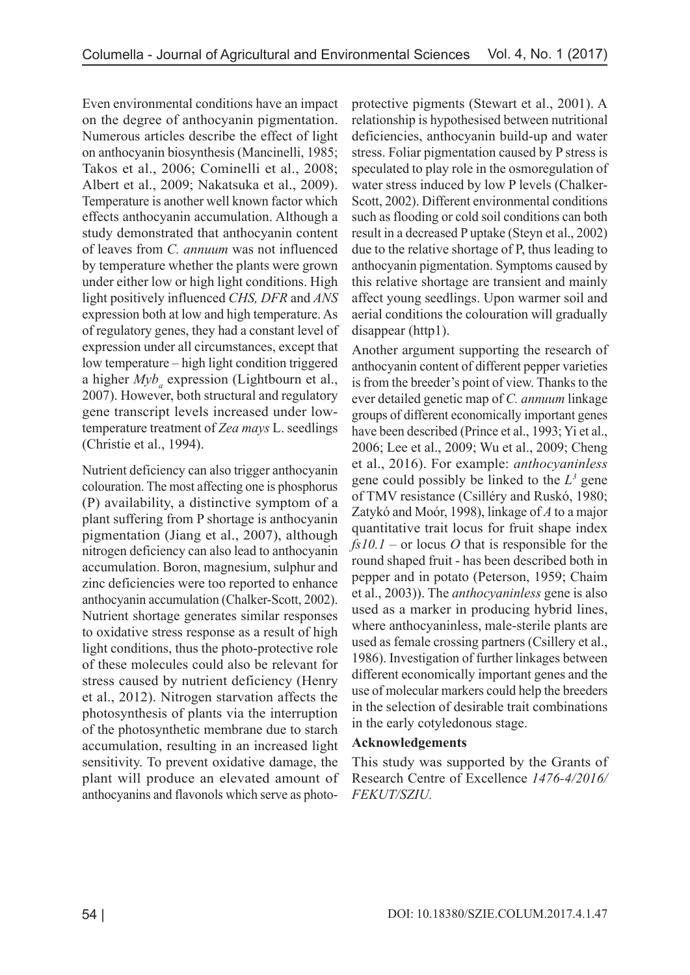Even environmental conditions have an impact on the degree of anthocyanin pigmentation. Numerous articles describe the effect of light on anthocyanin biosynthesis (Mancinelli, 1985; Takos et al., 2006; Cominelli et al., 2008; Albert et al., 2009; Nakatsuka et al., 2009). Temperature is another well known factor which effects anthocyanin accumulation. Although a study demonstrated that anthocyanin content of leaves from *C. annuum* was not influenced by temperature whether the plants were grown under either low or high light conditions. High light positively influenced *CHS, DFR* and *ANS* expression both at low and high temperature. As of regulatory genes, they had a constant level of expression under all circumstances, except that low temperature – high light condition triggered a higher  $My_{a}$  expression (Lightbourn et al., 2007). However, both structural and regulatory gene transcript levels increased under lowtemperature treatment of *Zea mays* L. seedlings (Christie et al., 1994).

Nutrient deficiency can also trigger anthocyanin colouration. The most affecting one is phosphorus (P) availability, a distinctive symptom of a plant suffering from P shortage is anthocyanin pigmentation (Jiang et al., 2007), although nitrogen deficiency can also lead to anthocyanin accumulation. Boron, magnesium, sulphur and zinc deficiencies were too reported to enhance anthocyanin accumulation (Chalker-Scott, 2002). Nutrient shortage generates similar responses to oxidative stress response as a result of high light conditions, thus the photo-protective role of these molecules could also be relevant for stress caused by nutrient deficiency (Henry et al., 2012). Nitrogen starvation affects the photosynthesis of plants via the interruption of the photosynthetic membrane due to starch accumulation, resulting in an increased light sensitivity. To prevent oxidative damage, the plant will produce an elevated amount of anthocyanins and flavonols which serve as photoprotective pigments (Stewart et al., 2001). A relationship is hypothesised between nutritional deficiencies, anthocyanin build-up and water stress. Foliar pigmentation caused by P stress is speculated to play role in the osmoregulation of water stress induced by low P levels (Chalker-Scott, 2002). Different environmental conditions such as flooding or cold soil conditions can both result in a decreased P uptake (Steyn et al., 2002) due to the relative shortage of P, thus leading to anthocyanin pigmentation. Symptoms caused by this relative shortage are transient and mainly affect young seedlings. Upon warmer soil and aerial conditions the colouration will gradually disappear (http1).

Another argument supporting the research of anthocyanin content of different pepper varieties is from the breeder's point of view. Thanks to the ever detailed genetic map of *C. annuum* linkage groups of different economically important genes have been described (Prince et al., 1993; Yi et al., 2006; Lee et al., 2009; Wu et al., 2009; Cheng et al., 2016). For example: *anthocyaninless*  gene could possibly be linked to the  $L^3$  gene of TMV resistance (Csilléry and Ruskó, 1980; Zatykó and Moór, 1998), linkage of *A* to a major quantitative trait locus for fruit shape index *fs10.1* – or locus *O* that is responsible for the round shaped fruit - has been described both in pepper and in potato (Peterson, 1959; Chaim et al., 2003)). The *anthocyaninless* gene is also used as a marker in producing hybrid lines, where anthocyaninless, male-sterile plants are used as female crossing partners (Csillery et al., 1986). Investigation of further linkages between different economically important genes and the use of molecular markers could help the breeders in the selection of desirable trait combinations in the early cotyledonous stage.

### **Acknowledgements**

This study was supported by the Grants of Research Centre of Excellence *1476-4/2016/ FEKUT/SZIU.*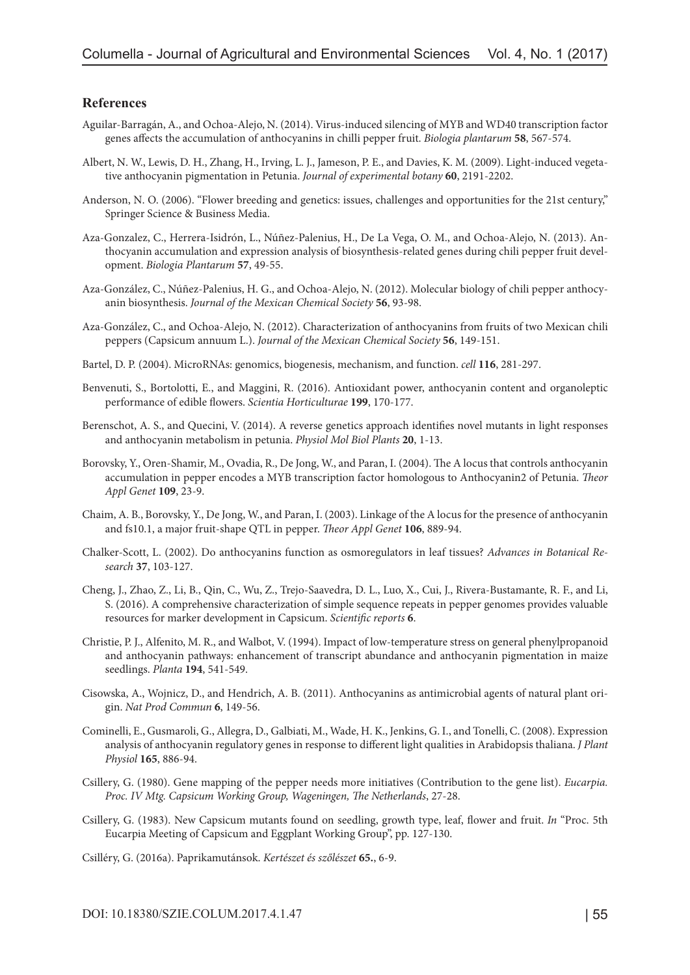### **References**

- Aguilar-Barragán, A., and Ochoa-Alejo, N. (2014). Virus-induced silencing of MYB and WD40 transcription factor genes affects the accumulation of anthocyanins in chilli pepper fruit. *Biologia plantarum* **58**, 567-574.
- Albert, N. W., Lewis, D. H., Zhang, H., Irving, L. J., Jameson, P. E., and Davies, K. M. (2009). Light-induced vegetative anthocyanin pigmentation in Petunia. *Journal of experimental botany* **60**, 2191-2202.
- Anderson, N. O. (2006). "Flower breeding and genetics: issues, challenges and opportunities for the 21st century," Springer Science & Business Media.
- Aza-Gonzalez, C., Herrera-Isidrón, L., Núñez-Palenius, H., De La Vega, O. M., and Ochoa-Alejo, N. (2013). Anthocyanin accumulation and expression analysis of biosynthesis-related genes during chili pepper fruit development. *Biologia Plantarum* **57**, 49-55.
- Aza-González, C., Núñez-Palenius, H. G., and Ochoa-Alejo, N. (2012). Molecular biology of chili pepper anthocyanin biosynthesis. *Journal of the Mexican Chemical Society* **56**, 93-98.
- Aza-González, C., and Ochoa-Alejo, N. (2012). Characterization of anthocyanins from fruits of two Mexican chili peppers (Capsicum annuum L.). *Journal of the Mexican Chemical Society* **56**, 149-151.
- Bartel, D. P. (2004). MicroRNAs: genomics, biogenesis, mechanism, and function. *cell* **116**, 281-297.
- Benvenuti, S., Bortolotti, E., and Maggini, R. (2016). Antioxidant power, anthocyanin content and organoleptic performance of edible flowers. *Scientia Horticulturae* **199**, 170-177.
- Berenschot, A. S., and Quecini, V. (2014). A reverse genetics approach identifies novel mutants in light responses and anthocyanin metabolism in petunia. *Physiol Mol Biol Plants* **20**, 1-13.
- Borovsky, Y., Oren-Shamir, M., Ovadia, R., De Jong, W., and Paran, I. (2004). The A locus that controls anthocyanin accumulation in pepper encodes a MYB transcription factor homologous to Anthocyanin2 of Petunia. *Theor Appl Genet* **109**, 23-9.
- Chaim, A. B., Borovsky, Y., De Jong, W., and Paran, I. (2003). Linkage of the A locus for the presence of anthocyanin and fs10.1, a major fruit-shape QTL in pepper. *Theor Appl Genet* **106**, 889-94.
- Chalker-Scott, L. (2002). Do anthocyanins function as osmoregulators in leaf tissues? *Advances in Botanical Research* **37**, 103-127.
- Cheng, J., Zhao, Z., Li, B., Qin, C., Wu, Z., Trejo-Saavedra, D. L., Luo, X., Cui, J., Rivera-Bustamante, R. F., and Li, S. (2016). A comprehensive characterization of simple sequence repeats in pepper genomes provides valuable resources for marker development in Capsicum. *Scientific reports* **6**.
- Christie, P. J., Alfenito, M. R., and Walbot, V. (1994). Impact of low-temperature stress on general phenylpropanoid and anthocyanin pathways: enhancement of transcript abundance and anthocyanin pigmentation in maize seedlings. *Planta* **194**, 541-549.
- Cisowska, A., Wojnicz, D., and Hendrich, A. B. (2011). Anthocyanins as antimicrobial agents of natural plant origin. *Nat Prod Commun* **6**, 149-56.
- Cominelli, E., Gusmaroli, G., Allegra, D., Galbiati, M., Wade, H. K., Jenkins, G. I., and Tonelli, C. (2008). Expression analysis of anthocyanin regulatory genes in response to different light qualities in Arabidopsis thaliana. *J Plant Physiol* **165**, 886-94.
- Csillery, G. (1980). Gene mapping of the pepper needs more initiatives (Contribution to the gene list). *Eucarpia. Proc. IV Mtg. Capsicum Working Group, Wageningen, The Netherlands*, 27-28.
- Csillery, G. (1983). New Capsicum mutants found on seedling, growth type, leaf, flower and fruit. *In* "Proc. 5th Eucarpia Meeting of Capsicum and Eggplant Working Group", pp. 127-130.
- Csilléry, G. (2016a). Paprikamutánsok. *Kertészet és szőlészet* **65.**, 6-9.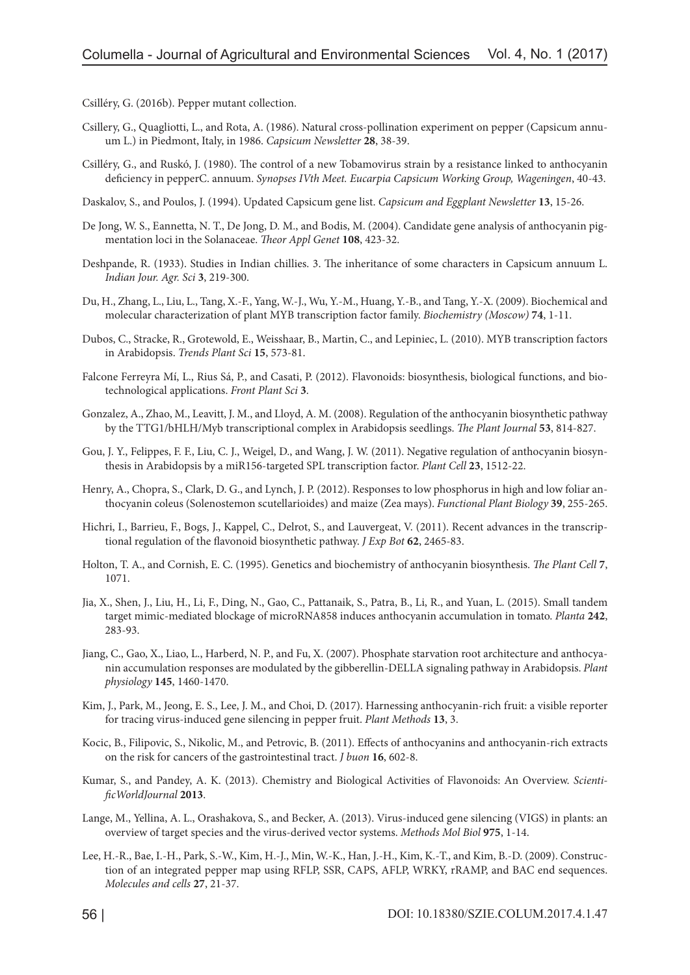Csilléry, G. (2016b). Pepper mutant collection.

- Csillery, G., Quagliotti, L., and Rota, A. (1986). Natural cross-pollination experiment on pepper (Capsicum annuum L.) in Piedmont, Italy, in 1986. *Capsicum Newsletter* **28**, 38-39.
- Csilléry, G., and Ruskó, J. (1980). The control of a new Tobamovirus strain by a resistance linked to anthocyanin deficiency in pepperC. annuum. *Synopses IVth Meet. Eucarpia Capsicum Working Group, Wageningen*, 40-43.
- Daskalov, S., and Poulos, J. (1994). Updated Capsicum gene list. *Capsicum and Eggplant Newsletter* **13**, 15-26.
- De Jong, W. S., Eannetta, N. T., De Jong, D. M., and Bodis, M. (2004). Candidate gene analysis of anthocyanin pigmentation loci in the Solanaceae. *Theor Appl Genet* **108**, 423-32.
- Deshpande, R. (1933). Studies in Indian chillies. 3. The inheritance of some characters in Capsicum annuum L. *Indian Jour. Agr. Sci* **3**, 219-300.
- Du, H., Zhang, L., Liu, L., Tang, X.-F., Yang, W.-J., Wu, Y.-M., Huang, Y.-B., and Tang, Y.-X. (2009). Biochemical and molecular characterization of plant MYB transcription factor family. *Biochemistry (Moscow)* **74**, 1-11.
- Dubos, C., Stracke, R., Grotewold, E., Weisshaar, B., Martin, C., and Lepiniec, L. (2010). MYB transcription factors in Arabidopsis. *Trends Plant Sci* **15**, 573-81.
- Falcone Ferreyra Mí, L., Rius Sá, P., and Casati, P. (2012). Flavonoids: biosynthesis, biological functions, and biotechnological applications. *Front Plant Sci* **3**.
- Gonzalez, A., Zhao, M., Leavitt, J. M., and Lloyd, A. M. (2008). Regulation of the anthocyanin biosynthetic pathway by the TTG1/bHLH/Myb transcriptional complex in Arabidopsis seedlings. *The Plant Journal* **53**, 814-827.
- Gou, J. Y., Felippes, F. F., Liu, C. J., Weigel, D., and Wang, J. W. (2011). Negative regulation of anthocyanin biosynthesis in Arabidopsis by a miR156-targeted SPL transcription factor. *Plant Cell* **23**, 1512-22.
- Henry, A., Chopra, S., Clark, D. G., and Lynch, J. P. (2012). Responses to low phosphorus in high and low foliar anthocyanin coleus (Solenostemon scutellarioides) and maize (Zea mays). *Functional Plant Biology* **39**, 255-265.
- Hichri, I., Barrieu, F., Bogs, J., Kappel, C., Delrot, S., and Lauvergeat, V. (2011). Recent advances in the transcriptional regulation of the flavonoid biosynthetic pathway. *J Exp Bot* **62**, 2465-83.
- Holton, T. A., and Cornish, E. C. (1995). Genetics and biochemistry of anthocyanin biosynthesis. *The Plant Cell* **7**, 1071.
- Jia, X., Shen, J., Liu, H., Li, F., Ding, N., Gao, C., Pattanaik, S., Patra, B., Li, R., and Yuan, L. (2015). Small tandem target mimic-mediated blockage of microRNA858 induces anthocyanin accumulation in tomato. *Planta* **242**, 283-93.
- Jiang, C., Gao, X., Liao, L., Harberd, N. P., and Fu, X. (2007). Phosphate starvation root architecture and anthocyanin accumulation responses are modulated by the gibberellin-DELLA signaling pathway in Arabidopsis. *Plant physiology* **145**, 1460-1470.
- Kim, J., Park, M., Jeong, E. S., Lee, J. M., and Choi, D. (2017). Harnessing anthocyanin-rich fruit: a visible reporter for tracing virus-induced gene silencing in pepper fruit. *Plant Methods* **13**, 3.
- Kocic, B., Filipovic, S., Nikolic, M., and Petrovic, B. (2011). Effects of anthocyanins and anthocyanin-rich extracts on the risk for cancers of the gastrointestinal tract. *J buon* **16**, 602-8.
- Kumar, S., and Pandey, A. K. (2013). Chemistry and Biological Activities of Flavonoids: An Overview. *ScientificWorldJournal* **2013**.
- Lange, M., Yellina, A. L., Orashakova, S., and Becker, A. (2013). Virus-induced gene silencing (VIGS) in plants: an overview of target species and the virus-derived vector systems. *Methods Mol Biol* **975**, 1-14.
- Lee, H.-R., Bae, I.-H., Park, S.-W., Kim, H.-J., Min, W.-K., Han, J.-H., Kim, K.-T., and Kim, B.-D. (2009). Construction of an integrated pepper map using RFLP, SSR, CAPS, AFLP, WRKY, rRAMP, and BAC end sequences. *Molecules and cells* **27**, 21-37.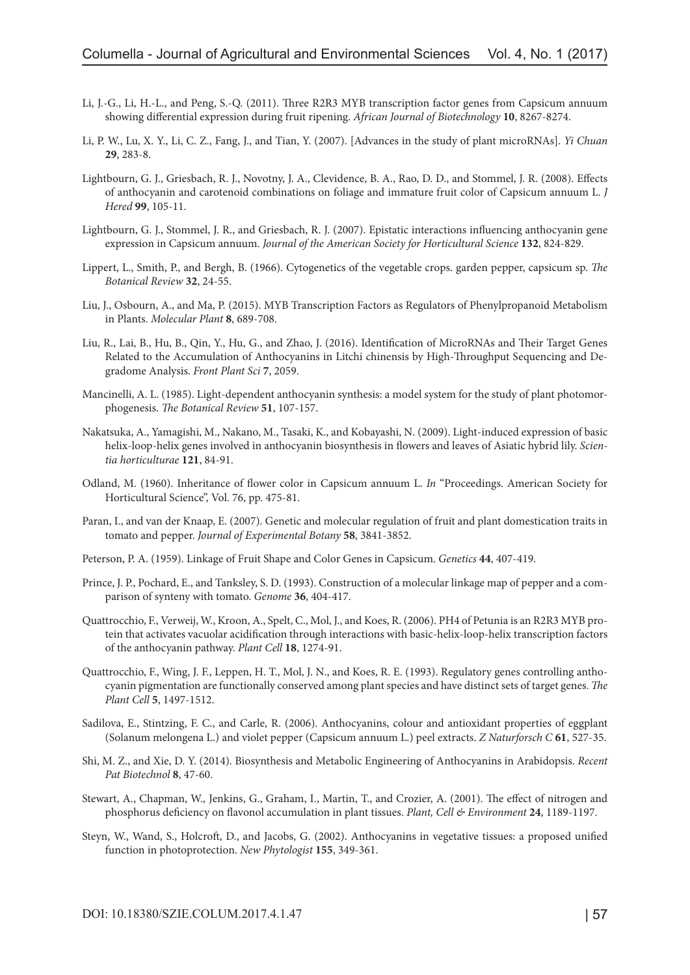- Li, J.-G., Li, H.-L., and Peng, S.-Q. (2011). Three R2R3 MYB transcription factor genes from Capsicum annuum showing differential expression during fruit ripening. *African Journal of Biotechnology* **10**, 8267-8274.
- Li, P. W., Lu, X. Y., Li, C. Z., Fang, J., and Tian, Y. (2007). [Advances in the study of plant microRNAs]. *Yi Chuan* **29**, 283-8.
- Lightbourn, G. J., Griesbach, R. J., Novotny, J. A., Clevidence, B. A., Rao, D. D., and Stommel, J. R. (2008). Effects of anthocyanin and carotenoid combinations on foliage and immature fruit color of Capsicum annuum L. *J Hered* **99**, 105-11.
- Lightbourn, G. J., Stommel, J. R., and Griesbach, R. J. (2007). Epistatic interactions influencing anthocyanin gene expression in Capsicum annuum. *Journal of the American Society for Horticultural Science* **132**, 824-829.
- Lippert, L., Smith, P., and Bergh, B. (1966). Cytogenetics of the vegetable crops. garden pepper, capsicum sp. *The Botanical Review* **32**, 24-55.
- Liu, J., Osbourn, A., and Ma, P. (2015). MYB Transcription Factors as Regulators of Phenylpropanoid Metabolism in Plants. *Molecular Plant* **8**, 689-708.
- Liu, R., Lai, B., Hu, B., Qin, Y., Hu, G., and Zhao, J. (2016). Identification of MicroRNAs and Their Target Genes Related to the Accumulation of Anthocyanins in Litchi chinensis by High-Throughput Sequencing and Degradome Analysis. *Front Plant Sci* **7**, 2059.
- Mancinelli, A. L. (1985). Light-dependent anthocyanin synthesis: a model system for the study of plant photomorphogenesis. *The Botanical Review* **51**, 107-157.
- Nakatsuka, A., Yamagishi, M., Nakano, M., Tasaki, K., and Kobayashi, N. (2009). Light-induced expression of basic helix-loop-helix genes involved in anthocyanin biosynthesis in flowers and leaves of Asiatic hybrid lily. *Scientia horticulturae* **121**, 84-91.
- Odland, M. (1960). Inheritance of flower color in Capsicum annuum L. *In* "Proceedings. American Society for Horticultural Science", Vol. 76, pp. 475-81.
- Paran, I., and van der Knaap, E. (2007). Genetic and molecular regulation of fruit and plant domestication traits in tomato and pepper. *Journal of Experimental Botany* **58**, 3841-3852.
- Peterson, P. A. (1959). Linkage of Fruit Shape and Color Genes in Capsicum. *Genetics* **44**, 407-419.
- Prince, J. P., Pochard, E., and Tanksley, S. D. (1993). Construction of a molecular linkage map of pepper and a comparison of synteny with tomato. *Genome* **36**, 404-417.
- Quattrocchio, F., Verweij, W., Kroon, A., Spelt, C., Mol, J., and Koes, R. (2006). PH4 of Petunia is an R2R3 MYB protein that activates vacuolar acidification through interactions with basic-helix-loop-helix transcription factors of the anthocyanin pathway. *Plant Cell* **18**, 1274-91.
- Quattrocchio, F., Wing, J. F., Leppen, H. T., Mol, J. N., and Koes, R. E. (1993). Regulatory genes controlling anthocyanin pigmentation are functionally conserved among plant species and have distinct sets of target genes. *The Plant Cell* **5**, 1497-1512.
- Sadilova, E., Stintzing, F. C., and Carle, R. (2006). Anthocyanins, colour and antioxidant properties of eggplant (Solanum melongena L.) and violet pepper (Capsicum annuum L.) peel extracts. *Z Naturforsch C* **61**, 527-35.
- Shi, M. Z., and Xie, D. Y. (2014). Biosynthesis and Metabolic Engineering of Anthocyanins in Arabidopsis. *Recent Pat Biotechnol* **8**, 47-60.
- Stewart, A., Chapman, W., Jenkins, G., Graham, I., Martin, T., and Crozier, A. (2001). The effect of nitrogen and phosphorus deficiency on flavonol accumulation in plant tissues. *Plant, Cell & Environment* **24**, 1189-1197.
- Steyn, W., Wand, S., Holcroft, D., and Jacobs, G. (2002). Anthocyanins in vegetative tissues: a proposed unified function in photoprotection. *New Phytologist* **155**, 349-361.